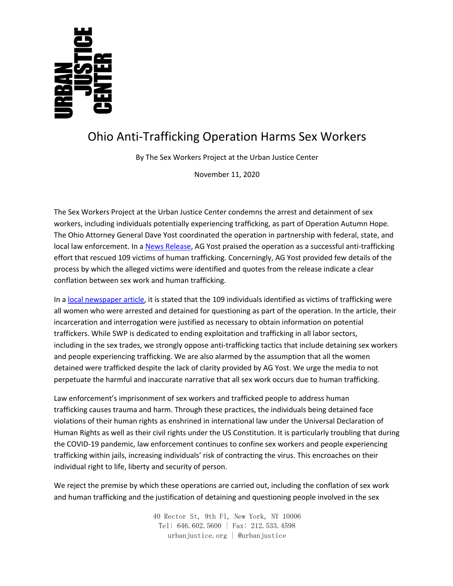## Ohio Anti-Trafficking Operation Harms Sex Workers

By The Sex Workers Project at the Urban Justice Center

November 11, 2020

The Sex Workers Project at the Urban Justice Center condemns the arrest and detainment of sex workers, including individuals potentially experiencing trafficking, as part of Operation Autumn Hope. The Ohio Attorney General Dave Yost coordinated the operation in partnership with federal, state, and local law enforcement. In a News Release, AG Yost praised the operation as a successful anti-trafficking effort that rescued 109 victims of human trafficking. Concerningly, AG Yost provided few details of the process by which the alleged victims were identified and quotes from the release indicate a clear conflation between sex work and human trafficking.

In a local newspaper article, it is stated that the 109 individuals identified as victims of trafficking were all women who were arrested and detained for questioning as part of the operation. In the article, their incarceration and interrogation were justified as necessary to obtain information on potential traffickers. While SWP is dedicated to ending exploitation and trafficking in all labor sectors, including in the sex trades, we strongly oppose anti-trafficking tactics that include detaining sex workers and people experiencing trafficking. We are also alarmed by the assumption that all the women detained were trafficked despite the lack of clarity provided by AG Yost. We urge the media to not perpetuate the harmful and inaccurate narrative that all sex work occurs due to human trafficking.

Law enforcement's imprisonment of sex workers and trafficked people to address human trafficking causes trauma and harm. Through these practices, the individuals being detained face violations of their human rights as enshrined in international law under the Universal Declaration of Human Rights as well as their civil rights under the US Constitution. It is particularly troubling that during the COVID-19 pandemic, law enforcement continues to confine sex workers and people experiencing trafficking within jails, increasing individuals' risk of contracting the virus. This encroaches on their individual right to life, liberty and security of person.

We reject the premise by which these operations are carried out, including the conflation of sex work and human trafficking and the justification of detaining and questioning people involved in the sex

> 40 Rector St, 9th Fl, New York, NY 10006 Tel: 646.602.5600 | Fax: 212.533.4598 urbanjustice.org | @urbanjustice